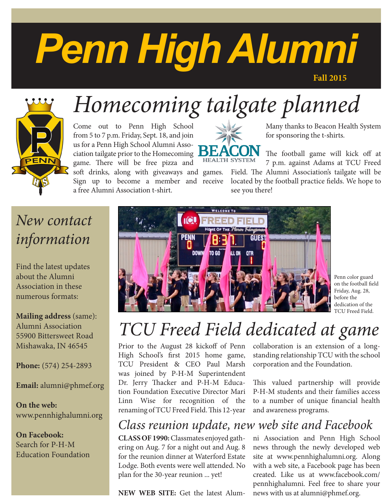# *Penn High Alumni*

**Fall 2015**



# *Homecoming tailgate planned*

Come out to Penn High School from 5 to 7 p.m. Friday, Sept. 18, and join us for a Penn High School Alumni Association tailgate prior to the Homecoming game. There will be free pizza and soft drinks, along with giveaways and games. Sign up to become a member and receive a free Alumni Association t-shirt.



Many thanks to Beacon Health System for sponsoring the t-shirts.

The football game will kick off at 7 p.m. against Adams at TCU Freed Field. The Alumni Association's tailgate will be located by the football practice fields. We hope to see you there!

## *New contact information*

Find the latest updates about the Alumni Association in these numerous formats:

**Mailing address** (same): Alumni Association 55900 Bittersweet Road Mishawaka, IN 46545

**Phone:** (574) 254-2893

**Email:** alumni@phmef.org

**On the web:** www.pennhighalumni.org

**On Facebook:** Search for P-H-M Education Foundation



Penn color guard on the football field Friday, Aug. 28, before the dedication of the TCU Freed Field.

## *TCU Freed Field dedicated at game*

Prior to the August 28 kickoff of Penn High School's first 2015 home game, TCU President & CEO Paul Marsh was joined by P-H-M Superintendent Dr. Jerry Thacker and P-H-M Education Foundation Executive Director Mari Linn Wise for recognition of the renaming of TCU Freed Field. This 12-year

collaboration is an extension of a longstanding relationship TCU with the school corporation and the Foundation.

This valued partnership will provide P-H-M students and their families access to a number of unique financial health and awareness programs.

### *Class reunion update, new web site and Facebook*

**CLASS OF 1990:** Classmates enjoyed gathering on Aug. 7 for a night out and Aug. 8 for the reunion dinner at Waterford Estate Lodge. Both events were well attended. No plan for the 30-year reunion ... yet!

**NEW WEB SITE:** Get the latest Alum-

ni Association and Penn High School news through the newly developed web site at www.pennhighalumni.org. Along with a web site, a Facebook page has been created. Like us at www.facebook.com/ pennhighalumni. Feel free to share your news with us at alumni@phmef.org.